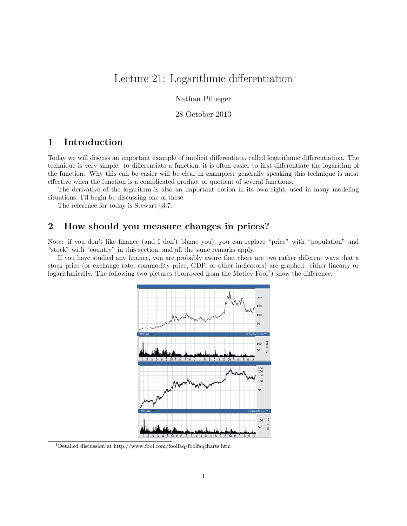# Lecture 21: Logarithmic differentiation

Nathan Pflueger

28 October 2013

## 1 Introduction

Today we will discuss an important example of implicit differentiate, called logarithmic differentiation. The technique is very simple: to differentiate a function, it is often easier to first differentiate the logarithm of the function. Why this can be easier will be clear in examples: generally speaking this technique is most effective when the function is a complicated product or quotient of several functions.

The derivative of the logarithm is also an important notion in its own right, used in many modeling situations. I'll begin be discussing one of these.

The reference for today is Stewart §3.7.

### 2 How should you measure changes in prices?

Note: if you don't like finance (and I don't blame you), you can replace "price" with "population" and "stock" with "country" in this section, and all the same remarks apply.

If you have studied any finance, you are probably aware that there are two rather different ways that a stock price (or exchange rate, commodity price, GDP, or other indicators) are graphed: either linearly or logarithmically. The following two pictures (borrowed from the Motley Fool<sup>1</sup>) show the difference.



 $^1$ Detailed discussion at http://www.fool.com/foolfaq/foolfaqcharts.htm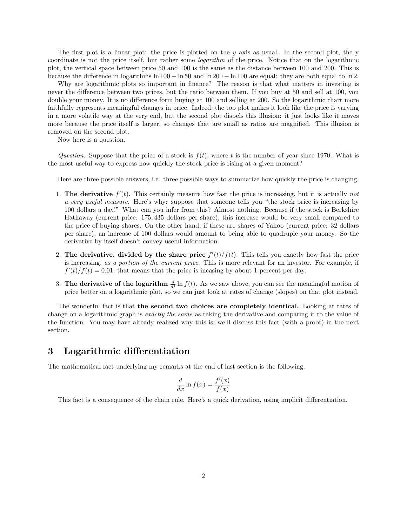The first plot is a linear plot: the price is plotted on the  $y$  axis as usual. In the second plot, the  $y$ coordinate is not the price itself, but rather some logarithm of the price. Notice that on the logarithmic plot, the vertical space between price 50 and 100 is the same as the distance between 100 and 200. This is because the difference in logarithms ln 100 − ln 50 and ln 200 − ln 100 are equal: they are both equal to ln 2.

Why are logarithmic plots so important in finance? The reason is that what matters in investing is never the difference between two prices, but the ratio between them. If you buy at 50 and sell at 100, you double your money. It is no difference form buying at 100 and selling at 200. So the logarithmic chart more faithfully represents meaningful changes in price. Indeed, the top plot makes it look like the price is varying in a more volatile way at the very end, but the second plot dispels this illusion: it just looks like it moves more because the price itself is larger, so changes that are small as ratios are magnified. This illusion is removed on the second plot.

Now here is a question.

Question. Suppose that the price of a stock is  $f(t)$ , where t is the number of year since 1970. What is the most useful way to express how quickly the stock price is rising at a given moment?

Here are three possible answers, i.e. three possible ways to summarize how quickly the price is changing.

- 1. The derivative  $f'(t)$ . This certainly measure how fast the price is increasing, but it is actually not a very useful measure. Here's why: suppose that someone tells you "the stock price is increasing by 100 dollars a day!" What can you infer from this? Almost nothing. Because if the stock is Berkshire Hathaway (current price: 175, 435 dollars per share), this increase would be very small compared to the price of buying shares. On the other hand, if these are shares of Yahoo (current price: 32 dollars per share), an increase of 100 dollars would amount to being able to quadruple your money. So the derivative by itself doesn't convey useful information.
- 2. The derivative, divided by the share price  $f'(t)/f(t)$ . This tells you exactly how fast the price is increasing, as a portion of the current price. This is more relevant for an investor. For example, if  $f'(t)/f(t) = 0.01$ , that means that the price is incasing by about 1 percent per day.
- 3. The derivative of the logarithm  $\frac{d}{dt} \ln f(t)$ . As we saw above, you can see the meaningful motion of price better on a logarithmic plot, so we can just look at rates of change (slopes) on that plot instead.

The wonderful fact is that the second two choices are completely identical. Looking at rates of change on a logarithmic graph is exactly the same as taking the derivative and comparing it to the value of the function. You may have already realized why this is; we'll discuss this fact (with a proof) in the next section.

#### 3 Logarithmic differentiation

The mathematical fact underlying my remarks at the end of last section is the following.

$$
\frac{d}{dx}\ln f(x) = \frac{f'(x)}{f(x)}
$$

This fact is a consequence of the chain rule. Here's a quick derivation, using implicit differentiation.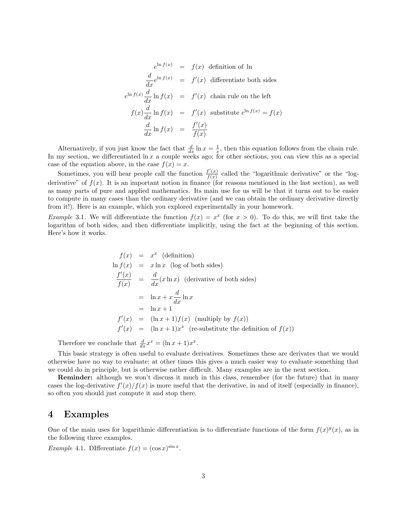$$
e^{\ln f(x)} = f(x) \text{ definition of } \ln
$$
  
\n
$$
\frac{d}{dx}e^{\ln f(x)} = f'(x) \text{ differentiate both sides}
$$
  
\n
$$
e^{\ln f(x)}\frac{d}{dx}\ln f(x) = f'(x) \text{ chain rule on the left}
$$
  
\n
$$
f(x)\frac{d}{dx}\ln f(x) = f'(x) \text{ substitute } e^{\ln f(x)} = f(x)
$$
  
\n
$$
\frac{d}{dx}\ln f(x) = \frac{f'(x)}{f(x)}
$$

Alternatively, if you just know the fact that  $\frac{d}{dx} \ln x = \frac{1}{x}$ , then this equation follows from the chain rule. In my section, we differentiated  $\ln x$  a couple weeks ago; for other sections, you can view this as a special case of the equation above, in the case  $f(x) = x$ .

Sometimes, you will hear people call the function  $\frac{f'(x)}{f(x)}$  $\frac{f(x)}{f(x)}$  called the "logarithmic derivative" or the "logderivative" of  $f(x)$ . It is an important notion in finance (for reasons mentioned in the last section), as well as many parts of pure and applied mathematics. Its main use for us will be that it turns out to be easier to compute in many cases than the ordinary derivative (and we can obtain the ordinary derivative directly from it!). Here is an example, which you explored experimentally in your homework.

*Example* 3.1. We will differentiate the function  $f(x) = x^x$  (for  $x > 0$ ). To do this, we will first take the logarithm of both sides, and then differentiate implicitly, using the fact at the beginning of this section. Here's how it works.

$$
f(x) = x^x
$$
 (definition)  
\n
$$
\ln f(x) = x \ln x
$$
 (log of both sides)  
\n
$$
\frac{f'(x)}{f(x)} = \frac{d}{dx}(x \ln x)
$$
 (derivative of both sides)  
\n
$$
= \ln x + x \frac{d}{dx} \ln x
$$
  
\n
$$
= \ln x + 1
$$
  
\n
$$
f'(x) = (\ln x + 1) f(x)
$$
 (multiply by  $f(x)$ )  
\n
$$
f'(x) = (\ln x + 1) x^x
$$
 (re-substitute the definition of  $f(x)$ )

Therefore we conclude that  $\frac{d}{dx}x^x = (\ln x + 1)x^x$ .

This basic strategy is often useful to evaluate derivatives. Sometimes these are derivates that we would otherwise have no way to evaluate; at other times this gives a much easier way to evaluate something that we could do in principle, but is otherwise rather difficult. Many examples are in the next section.

Reminder: although we won't discuss it much in this class, remember (for the future) that in many cases the log-derivative  $f'(x)/f(x)$  is more useful that the derivative, in and of itself (especially in finance), so often you should just compute it and stop there.

#### 4 Examples

One of the main uses for logarithmic differentiation is to differentiate functions of the form  $f(x)^{g}(x)$ , as in the following three examples.

*Example* 4.1. DIfferentiate  $f(x) = (\cos x)^{\sin x}$ .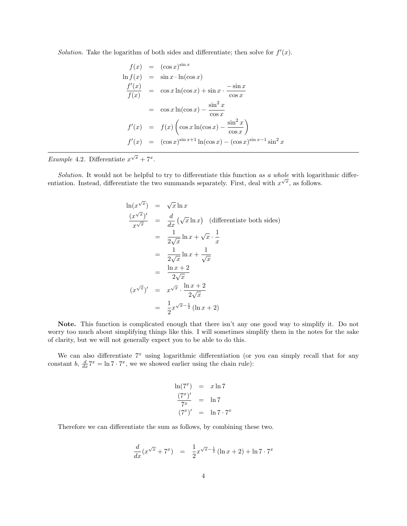Solution. Take the logarithm of both sides and differentiate; then solve for  $f'(x)$ .

$$
f(x) = (\cos x)^{\sin x}
$$
  
\n
$$
\ln f(x) = \sin x \cdot \ln(\cos x)
$$
  
\n
$$
\frac{f'(x)}{f(x)} = \cos x \ln(\cos x) + \sin x \cdot \frac{-\sin x}{\cos x}
$$
  
\n
$$
= \cos x \ln(\cos x) - \frac{\sin^2 x}{\cos x}
$$
  
\n
$$
f'(x) = f(x) \left(\cos x \ln(\cos x) - \frac{\sin^2 x}{\cos x}\right)
$$
  
\n
$$
f'(x) = (\cos x)^{\sin x + 1} \ln(\cos x) - (\cos x)^{\sin x - 1} \sin^2 x
$$

Example 4.2. Differentiate  $x^{\sqrt{x}} + 7^x$ .

Solution. It would not be helpful to try to differentiate this function as a whole with logarithmic differentiation. Instead, differentiate the two summands separately. First, deal with  $x^{\sqrt{x}}$ , as follows.

$$
\ln(x^{\sqrt{x}}) = \sqrt{x} \ln x
$$
  
\n
$$
\frac{(x^{\sqrt{x}})'}{x^{\sqrt{x}}} = \frac{d}{dx} (\sqrt{x} \ln x)
$$
 (differentiate both sides)  
\n
$$
= \frac{1}{2\sqrt{x}} \ln x + \sqrt{x} \cdot \frac{1}{x}
$$
  
\n
$$
= \frac{1}{2\sqrt{x}} \ln x + \frac{1}{\sqrt{x}}
$$
  
\n
$$
= \frac{\ln x + 2}{2\sqrt{x}}
$$
  
\n
$$
(x^{\sqrt{x}})' = x^{\sqrt{x}} \cdot \frac{\ln x + 2}{2\sqrt{x}}
$$
  
\n
$$
= \frac{1}{2} x^{\sqrt{x} - \frac{1}{2}} (\ln x + 2)
$$

Note. This function is complicated enough that there isn't any one good way to simplify it. Do not worry too much about simplifying things like this. I will sometimes simplify them in the notes for the sake of clarity, but we will not generally expect you to be able to do this.

We can also differentiate  $7<sup>x</sup>$  using logarithmic differentiation (or you can simply recall that for any constant b,  $\frac{d}{dx} 7^x = \ln 7 \cdot 7^x$ , we we showed earlier using the chain rule):

$$
\ln(7^x) = x \ln 7
$$
  

$$
\frac{(7^x)'}{7^x} = \ln 7
$$
  

$$
(7^x)' = \ln 7 \cdot 7^x
$$

Therefore we can differentiate the sum as follows, by combining these two.

$$
\frac{d}{dx}(x^{\sqrt{x}} + 7^{x}) = \frac{1}{2}x^{\sqrt{x} - \frac{1}{2}}(\ln x + 2) + \ln 7 \cdot 7^{x}
$$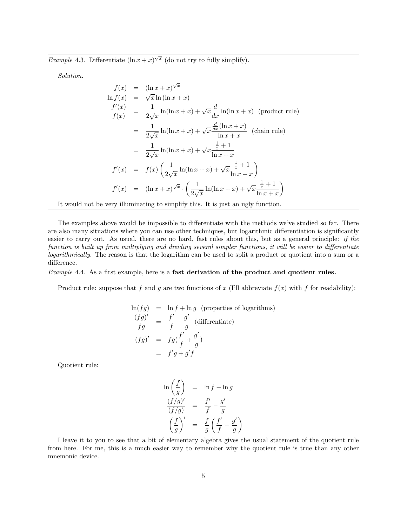*Example* 4.3. Differentiate  $(\ln x + x)^{\sqrt{x}}$  (do not try to fully simplify).

Solution.

$$
f(x) = (\ln x + x)^{\sqrt{x}}
$$
  
\n
$$
\ln f(x) = \sqrt{x} \ln(\ln x + x)
$$
  
\n
$$
\frac{f'(x)}{f(x)} = \frac{1}{2\sqrt{x}} \ln(\ln x + x) + \sqrt{x} \frac{d}{dx} \ln(\ln x + x)
$$
 (product rule)  
\n
$$
= \frac{1}{2\sqrt{x}} \ln(\ln x + x) + \sqrt{x} \frac{\frac{d}{dx}(\ln x + x)}{\ln x + x}
$$
 (chain rule)  
\n
$$
= \frac{1}{2\sqrt{x}} \ln(\ln x + x) + \sqrt{x} \frac{\frac{1}{x} + 1}{\ln x + x}
$$
  
\n
$$
f'(x) = f(x) \left( \frac{1}{2\sqrt{x}} \ln(\ln x + x) + \sqrt{x} \frac{\frac{1}{x} + 1}{\ln x + x} \right)
$$
  
\n
$$
f'(x) = (\ln x + x)^{\sqrt{x}} \cdot \left( \frac{1}{2\sqrt{x}} \ln(\ln x + x) + \sqrt{x} \frac{\frac{1}{x} + 1}{\ln x + x} \right)
$$

It would not be very illuminating to simplify this. It is just an ugly function.

The examples above would be impossible to differentiate with the methods we've studied so far. There are also many situations where you can use other techniques, but logarithmic differentiation is significantly easier to carry out. As usual, there are no hard, fast rules about this, but as a general principle: if the function is built up from multiplying and dividing several simpler functions, it will be easier to differentiate logarithmically. The reason is that the logarithm can be used to split a product or quotient into a sum or a difference.

Example 4.4. As a first example, here is a fast derivation of the product and quotient rules.

Product rule: suppose that f and g are two functions of x (I'll abbreviate  $f(x)$  with f for readability):

$$
\ln(fg) = \ln f + \ln g \text{ (properties of logarithms)}
$$
  
\n
$$
\frac{(fg)'}{fg} = \frac{f'}{f} + \frac{g'}{g} \text{ (differentiate)}
$$
  
\n
$$
(fg)' = fg(\frac{f'}{f} + \frac{g'}{g})
$$
  
\n
$$
= f'g + g'f
$$

Quotient rule:

$$
\ln\left(\frac{f}{g}\right) = \ln f - \ln g
$$
  

$$
\frac{(f/g)'}{(f/g)} = \frac{f'}{f} - \frac{g'}{g}
$$
  

$$
\left(\frac{f}{g}\right)' = \frac{f}{g}\left(\frac{f'}{f} - \frac{g'}{g}\right)
$$

I leave it to you to see that a bit of elementary algebra gives the usual statement of the quotient rule from here. For me, this is a much easier way to remember why the quotient rule is true than any other mnemonic device.